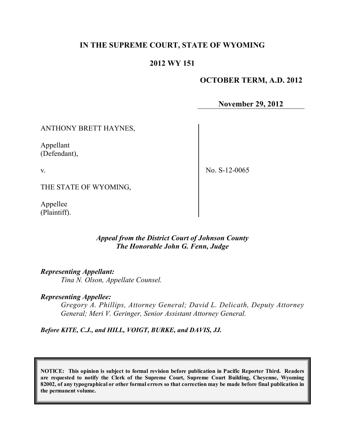# **IN THE SUPREME COURT, STATE OF WYOMING**

# **2012 WY 151**

## **OCTOBER TERM, A.D. 2012**

**November 29, 2012**

### ANTHONY BRETT HAYNES,

Appellant (Defendant),

v.

No. S-12-0065

THE STATE OF WYOMING,

Appellee (Plaintiff).

### *Appeal from the District Court of Johnson County The Honorable John G. Fenn, Judge*

#### *Representing Appellant:*

*Tina N. Olson, Appellate Counsel.*

#### *Representing Appellee:*

*Gregory A. Phillips, Attorney General; David L. Delicath, Deputy Attorney General; Meri V. Geringer, Senior Assistant Attorney General.*

*Before KITE, C.J., and HILL, VOIGT, BURKE, and DAVIS, JJ.*

**NOTICE: This opinion is subject to formal revision before publication in Pacific Reporter Third. Readers are requested to notify the Clerk of the Supreme Court, Supreme Court Building, Cheyenne, Wyoming** 82002, of any typographical or other formal errors so that correction may be made before final publication in **the permanent volume.**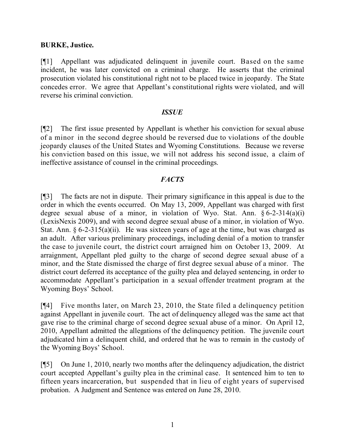#### **BURKE, Justice.**

[¶1] Appellant was adjudicated delinquent in juvenile court. Based on the same incident, he was later convicted on a criminal charge. He asserts that the criminal prosecution violated his constitutional right not to be placed twice in jeopardy. The State concedes error. We agree that Appellant's constitutional rights were violated, and will reverse his criminal conviction.

#### *ISSUE*

[¶2] The first issue presented by Appellant is whether his conviction for sexual abuse of a minor in the second degree should be reversed due to violations of the double jeopardy clauses of the United States and Wyoming Constitutions. Because we reverse his conviction based on this issue, we will not address his second issue, a claim of ineffective assistance of counsel in the criminal proceedings.

## *FACTS*

[¶3] The facts are not in dispute. Their primary significance in this appeal is due to the order in which the events occurred. On May 13, 2009, Appellant was charged with first degree sexual abuse of a minor, in violation of Wyo. Stat. Ann.  $\S 6$ -2-314(a)(i) (LexisNexis 2009), and with second degree sexual abuse of a minor, in violation of Wyo. Stat. Ann.  $\S 6$ -2-315(a)(ii). He was sixteen years of age at the time, but was charged as an adult. After various preliminary proceedings, including denial of a motion to transfer the case to juvenile court, the district court arraigned him on October 13, 2009. At arraignment, Appellant pled guilty to the charge of second degree sexual abuse of a minor, and the State dismissed the charge of first degree sexual abuse of a minor. The district court deferred its acceptance of the guilty plea and delayed sentencing, in order to accommodate Appellant's participation in a sexual offender treatment program at the Wyoming Boys' School.

[¶4] Five months later, on March 23, 2010, the State filed a delinquency petition against Appellant in juvenile court. The act of delinquency alleged was the same act that gave rise to the criminal charge of second degree sexual abuse of a minor. On April 12, 2010, Appellant admitted the allegations of the delinquency petition. The juvenile court adjudicated him a delinquent child, and ordered that he was to remain in the custody of the Wyoming Boys' School.

[¶5] On June 1, 2010, nearly two months after the delinquency adjudication, the district court accepted Appellant's guilty plea in the criminal case. It sentenced him to ten to fifteen years incarceration, but suspended that in lieu of eight years of supervised probation. A Judgment and Sentence was entered on June 28, 2010.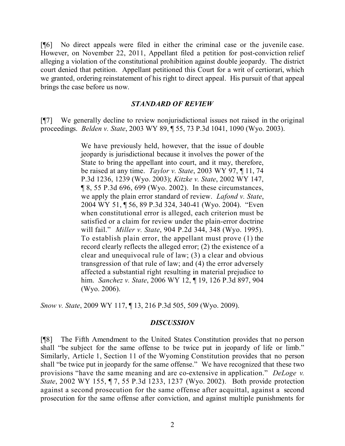[¶6] No direct appeals were filed in either the criminal case or the juvenile case. However, on November 22, 2011, Appellant filed a petition for post-conviction relief alleging a violation of the constitutional prohibition against double jeopardy. The district court denied that petition. Appellant petitioned this Court for a writ of certiorari, which we granted, ordering reinstatement of his right to direct appeal. His pursuit of that appeal brings the case before us now.

#### *STANDARD OF REVIEW*

[¶7] We generally decline to review nonjurisdictional issues not raised in the original proceedings. *Belden v. State*, 2003 WY 89, ¶ 55, 73 P.3d 1041, 1090 (Wyo. 2003).

> We have previously held, however, that the issue of double jeopardy is jurisdictional because it involves the power of the State to bring the appellant into court, and it may, therefore, be raised at any time. *Taylor v. State*, 2003 WY 97, ¶ 11, 74 P.3d 1236, 1239 (Wyo. 2003); *Kitzke v. State*, 2002 WY 147, ¶ 8, 55 P.3d 696, 699 (Wyo. 2002). In these circumstances, we apply the plain error standard of review. *Lafond v. State*, 2004 WY 51, ¶ 56, 89 P.3d 324, 340-41 (Wyo. 2004). "Even when constitutional error is alleged, each criterion must be satisfied or a claim for review under the plain-error doctrine will fail." *Miller v. State*, 904 P.2d 344, 348 (Wyo. 1995). To establish plain error, the appellant must prove (1) the record clearly reflects the alleged error; (2) the existence of a clear and unequivocal rule of law; (3) a clear and obvious transgression of that rule of law; and (4) the error adversely affected a substantial right resulting in material prejudice to him. *Sanchez v. State*, 2006 WY 12, ¶ 19, 126 P.3d 897, 904 (Wyo. 2006).

*Snow v. State*, 2009 WY 117, ¶ 13, 216 P.3d 505, 509 (Wyo. 2009).

#### *DISCUSSION*

[¶8] The Fifth Amendment to the United States Constitution provides that no person shall "be subject for the same offense to be twice put in jeopardy of life or limb." Similarly, Article 1, Section 11 of the Wyoming Constitution provides that no person shall "be twice put in jeopardy for the same offense." We have recognized that these two provisions "have the same meaning and are co-extensive in application." *DeLoge v. State*, 2002 WY 155, ¶ 7, 55 P.3d 1233, 1237 (Wyo. 2002). Both provide protection against a second prosecution for the same offense after acquittal, against a second prosecution for the same offense after conviction, and against multiple punishments for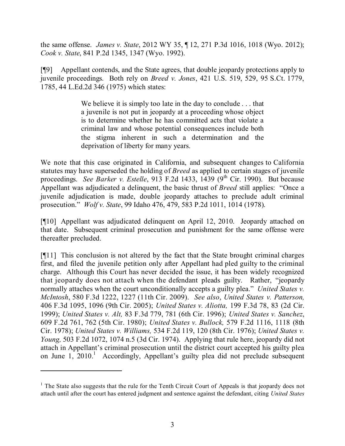the same offense. *James v. State*, 2012 WY 35, ¶ 12, 271 P.3d 1016, 1018 (Wyo. 2012); *Cook v. State*, 841 P.2d 1345, 1347 (Wyo. 1992).

[¶9] Appellant contends, and the State agrees, that double jeopardy protections apply to juvenile proceedings. Both rely on *Breed v. Jones*, 421 U.S. 519, 529, 95 S.Ct. 1779, 1785, 44 L.Ed.2d 346 (1975) which states:

> We believe it is simply too late in the day to conclude . . . that a juvenile is not put in jeopardy at a proceeding whose object is to determine whether he has committed acts that violate a criminal law and whose potential consequences include both the stigma inherent in such a determination and the deprivation of liberty for many years.

We note that this case originated in California, and subsequent changes to California statutes may have superseded the holding of *Breed* as applied to certain stages of juvenile proceedings. *See Barker v. Estelle*, 913 F.2d 1433, 1439 (9 th Cir. 1990). But because Appellant was adjudicated a delinquent, the basic thrust of *Breed* still applies: "Once a juvenile adjudication is made, double jeopardy attaches to preclude adult criminal prosecution." *Wolf v. State*, 99 Idaho 476, 479, 583 P.2d 1011, 1014 (1978).

[¶10] Appellant was adjudicated delinquent on April 12, 2010. Jeopardy attached on that date. Subsequent criminal prosecution and punishment for the same offense were thereafter precluded.

[¶11] This conclusion is not altered by the fact that the State brought criminal charges first, and filed the juvenile petition only after Appellant had pled guilty to the criminal charge. Although this Court has never decided the issue, it has been widely recognized that jeopardy does not attach when the defendant pleads guilty. Rather, "jeopardy normally attaches when the court unconditionally accepts a guilty plea." *United States v. McIntosh*, 580 F.3d 1222, 1227 (11th Cir. 2009). *See also*, *United States v. Patterson,* 406 F.3d 1095, 1096 (9th Cir. 2005); *United States v. Aliotta,* 199 F.3d 78, 83 (2d Cir. 1999); *United States v. Alt,* 83 F.3d 779, 781 (6th Cir. 1996); *United States v. Sanchez*, 609 F.2d 761, 762 (5th Cir. 1980); *United States v. Bullock,* 579 F.2d 1116, 1118 (8th Cir. 1978); *United States v. Williams,* 534 F.2d 119, 120 (8th Cir. 1976); *United States v. Young,* 503 F.2d 1072, 1074 n.5 (3d Cir. 1974). Applying that rule here, jeopardy did not attach in Appellant's criminal prosecution until the district court accepted his guilty plea on June 1, 2010. <sup>1</sup> Accordingly, Appellant's guilty plea did not preclude subsequent

 $<sup>1</sup>$  The State also suggests that the rule for the Tenth Circuit Court of Appeals is that jeopardy does not</sup> attach until after the court has entered judgment and sentence against the defendant, citing *United States*